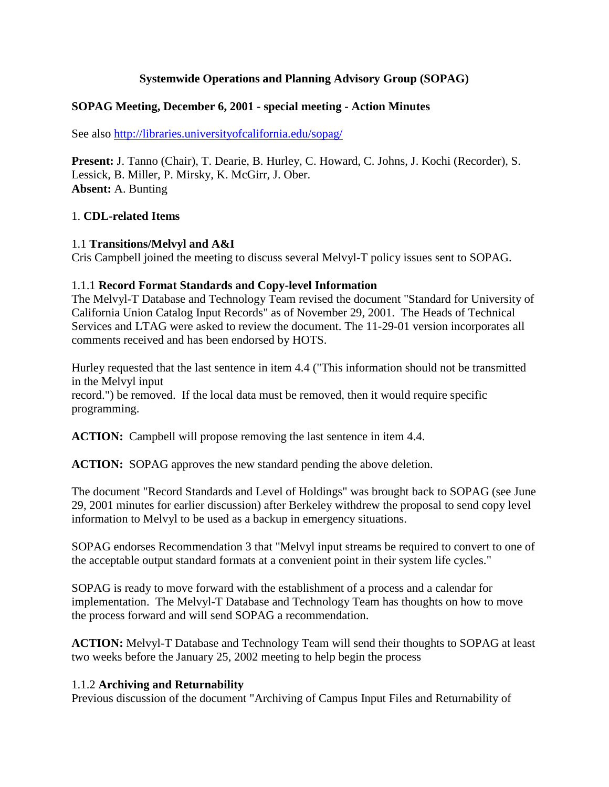#### **Systemwide Operations and Planning Advisory Group (SOPAG)**

#### **SOPAG Meeting, December 6, 2001 - special meeting - Action Minutes**

See also http://libraries.universityofcalifornia.edu/sopag/

**Present:** J. Tanno (Chair), T. Dearie, B. Hurley, C. Howard, C. Johns, J. Kochi (Recorder), S. Lessick, B. Miller, P. Mirsky, K. McGirr, J. Ober. **Absent:** A. Bunting

#### 1. **CDL-related Items**

#### 1.1 **Transitions/Melvyl and A&I**

Cris Campbell joined the meeting to discuss several Melvyl-T policy issues sent to SOPAG.

#### 1.1.1 **Record Format Standards and Copy-level Information**

The Melvyl-T Database and Technology Team revised the document "Standard for University of California Union Catalog Input Records" as of November 29, 2001. The Heads of Technical Services and LTAG were asked to review the document. The 11-29-01 version incorporates all comments received and has been endorsed by HOTS.

Hurley requested that the last sentence in item 4.4 ("This information should not be transmitted in the Melvyl input

record.") be removed. If the local data must be removed, then it would require specific programming.

**ACTION:** Campbell will propose removing the last sentence in item 4.4.

**ACTION:** SOPAG approves the new standard pending the above deletion.

The document "Record Standards and Level of Holdings" was brought back to SOPAG (see June 29, 2001 minutes for earlier discussion) after Berkeley withdrew the proposal to send copy level information to Melvyl to be used as a backup in emergency situations.

SOPAG endorses Recommendation 3 that "Melvyl input streams be required to convert to one of the acceptable output standard formats at a convenient point in their system life cycles."

SOPAG is ready to move forward with the establishment of a process and a calendar for implementation. The Melvyl-T Database and Technology Team has thoughts on how to move the process forward and will send SOPAG a recommendation.

**ACTION:** Melvyl-T Database and Technology Team will send their thoughts to SOPAG at least two weeks before the January 25, 2002 meeting to help begin the process

#### 1.1.2 **Archiving and Returnability**

Previous discussion of the document "Archiving of Campus Input Files and Returnability of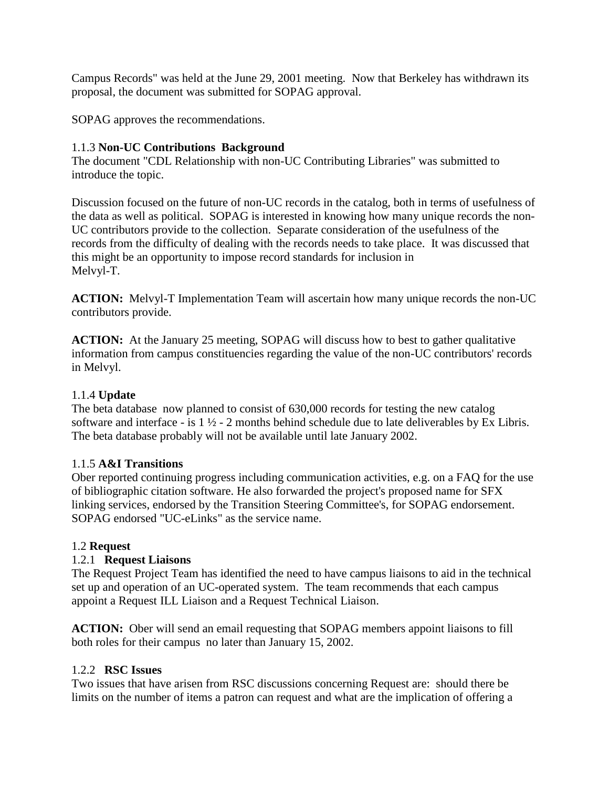Campus Records" was held at the June 29, 2001 meeting. Now that Berkeley has withdrawn its proposal, the document was submitted for SOPAG approval.

SOPAG approves the recommendations.

#### 1.1.3 **Non-UC Contributions Background**

The document "CDL Relationship with non-UC Contributing Libraries" was submitted to introduce the topic.

Discussion focused on the future of non-UC records in the catalog, both in terms of usefulness of the data as well as political. SOPAG is interested in knowing how many unique records the non-UC contributors provide to the collection. Separate consideration of the usefulness of the records from the difficulty of dealing with the records needs to take place. It was discussed that this might be an opportunity to impose record standards for inclusion in Melvyl-T.

**ACTION:** Melvyl-T Implementation Team will ascertain how many unique records the non-UC contributors provide.

**ACTION:** At the January 25 meeting, SOPAG will discuss how to best to gather qualitative information from campus constituencies regarding the value of the non-UC contributors' records in Melvyl.

### 1.1.4 **Update**

The beta database now planned to consist of 630,000 records for testing the new catalog software and interface - is 1 ½ - 2 months behind schedule due to late deliverables by Ex Libris. The beta database probably will not be available until late January 2002.

#### 1.1.5 **A&I Transitions**

Ober reported continuing progress including communication activities, e.g. on a FAQ for the use of bibliographic citation software. He also forwarded the project's proposed name for SFX linking services, endorsed by the Transition Steering Committee's, for SOPAG endorsement. SOPAG endorsed "UC-eLinks" as the service name.

#### 1.2 **Request**

#### 1.2.1 **Request Liaisons**

The Request Project Team has identified the need to have campus liaisons to aid in the technical set up and operation of an UC-operated system. The team recommends that each campus appoint a Request ILL Liaison and a Request Technical Liaison.

**ACTION:** Ober will send an email requesting that SOPAG members appoint liaisons to fill both roles for their campus no later than January 15, 2002.

#### 1.2.2 **RSC Issues**

Two issues that have arisen from RSC discussions concerning Request are: should there be limits on the number of items a patron can request and what are the implication of offering a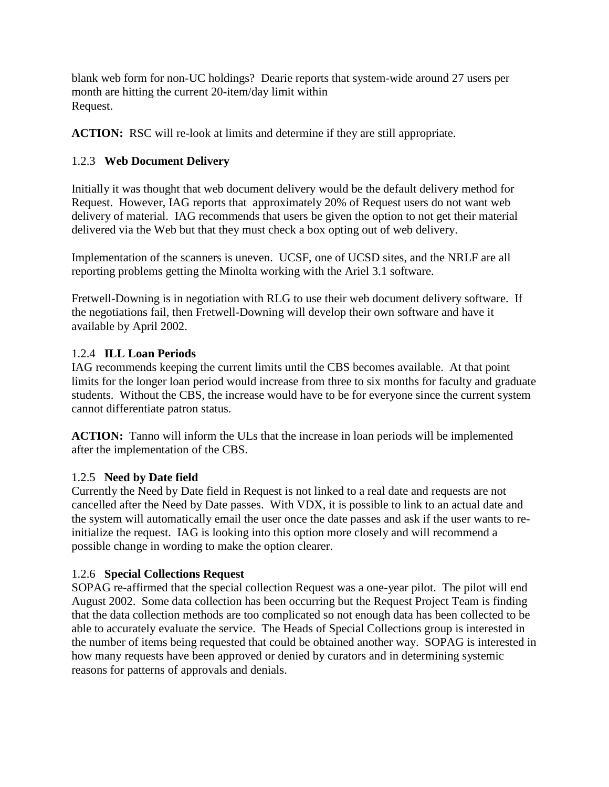blank web form for non-UC holdings? Dearie reports that system-wide around 27 users per month are hitting the current 20-item/day limit within Request.

**ACTION:** RSC will re-look at limits and determine if they are still appropriate.

# 1.2.3 **Web Document Delivery**

Initially it was thought that web document delivery would be the default delivery method for Request. However, IAG reports that approximately 20% of Request users do not want web delivery of material. IAG recommends that users be given the option to not get their material delivered via the Web but that they must check a box opting out of web delivery.

Implementation of the scanners is uneven. UCSF, one of UCSD sites, and the NRLF are all reporting problems getting the Minolta working with the Ariel 3.1 software.

Fretwell-Downing is in negotiation with RLG to use their web document delivery software. If the negotiations fail, then Fretwell-Downing will develop their own software and have it available by April 2002.

## 1.2.4 **ILL Loan Periods**

IAG recommends keeping the current limits until the CBS becomes available. At that point limits for the longer loan period would increase from three to six months for faculty and graduate students. Without the CBS, the increase would have to be for everyone since the current system cannot differentiate patron status.

**ACTION:** Tanno will inform the ULs that the increase in loan periods will be implemented after the implementation of the CBS.

#### 1.2.5 **Need by Date field**

Currently the Need by Date field in Request is not linked to a real date and requests are not cancelled after the Need by Date passes. With VDX, it is possible to link to an actual date and the system will automatically email the user once the date passes and ask if the user wants to reinitialize the request. IAG is looking into this option more closely and will recommend a possible change in wording to make the option clearer.

# 1.2.6 **Special Collections Request**

SOPAG re-affirmed that the special collection Request was a one-year pilot. The pilot will end August 2002. Some data collection has been occurring but the Request Project Team is finding that the data collection methods are too complicated so not enough data has been collected to be able to accurately evaluate the service. The Heads of Special Collections group is interested in the number of items being requested that could be obtained another way. SOPAG is interested in how many requests have been approved or denied by curators and in determining systemic reasons for patterns of approvals and denials.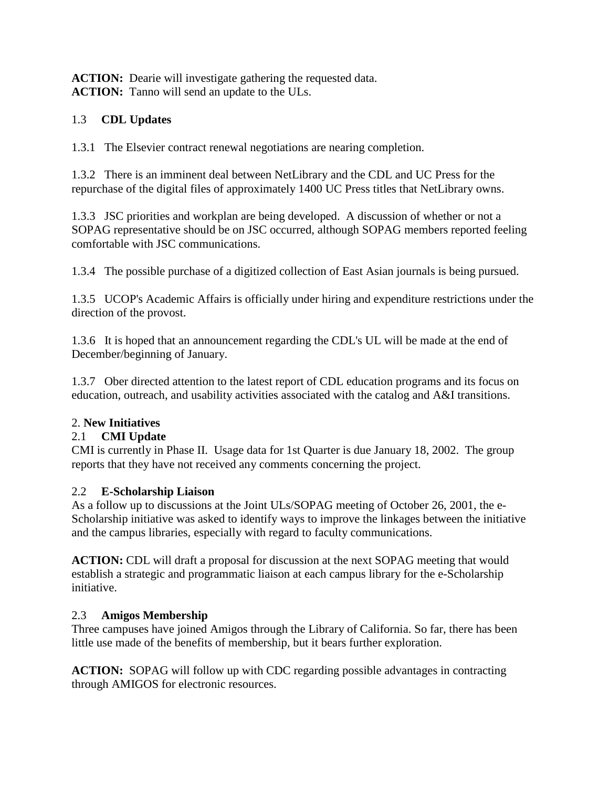**ACTION:** Dearie will investigate gathering the requested data. **ACTION:** Tanno will send an update to the ULs.

# 1.3 **CDL Updates**

1.3.1 The Elsevier contract renewal negotiations are nearing completion.

1.3.2 There is an imminent deal between NetLibrary and the CDL and UC Press for the repurchase of the digital files of approximately 1400 UC Press titles that NetLibrary owns.

1.3.3 JSC priorities and workplan are being developed. A discussion of whether or not a SOPAG representative should be on JSC occurred, although SOPAG members reported feeling comfortable with JSC communications.

1.3.4 The possible purchase of a digitized collection of East Asian journals is being pursued.

1.3.5 UCOP's Academic Affairs is officially under hiring and expenditure restrictions under the direction of the provost.

1.3.6 It is hoped that an announcement regarding the CDL's UL will be made at the end of December/beginning of January.

1.3.7 Ober directed attention to the latest report of CDL education programs and its focus on education, outreach, and usability activities associated with the catalog and A&I transitions.

# 2. **New Initiatives**

# 2.1 **CMI Update**

CMI is currently in Phase II. Usage data for 1st Quarter is due January 18, 2002. The group reports that they have not received any comments concerning the project.

# 2.2 **E-Scholarship Liaison**

As a follow up to discussions at the Joint ULs/SOPAG meeting of October 26, 2001, the e-Scholarship initiative was asked to identify ways to improve the linkages between the initiative and the campus libraries, especially with regard to faculty communications.

**ACTION:** CDL will draft a proposal for discussion at the next SOPAG meeting that would establish a strategic and programmatic liaison at each campus library for the e-Scholarship initiative.

# 2.3 **Amigos Membership**

Three campuses have joined Amigos through the Library of California. So far, there has been little use made of the benefits of membership, but it bears further exploration.

**ACTION:** SOPAG will follow up with CDC regarding possible advantages in contracting through AMIGOS for electronic resources.